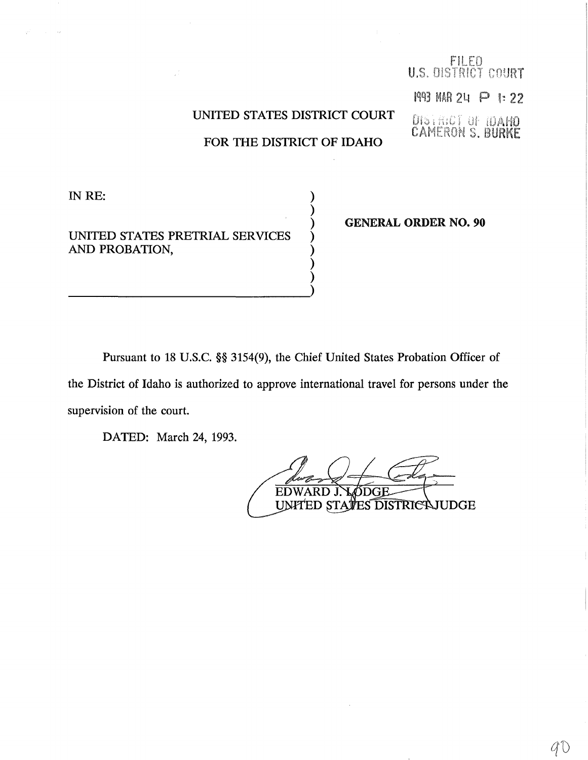## UNITED STATES DISTRICT COURT

FOR THE DISTRICT OF IDAHO

)

) )

IN RE:

UNITED STATES PRETRIAL SERVICES AND PROBATION,

) GENERAL ORDER NO. 90

FILED<br>U.S. DISTRICT COURT

1993 MAR 24 P 1:22

**DISTRICT OF IDAHO**<br>CAMERON S. BURKE

Pursuant to 18 U.S.C. §§ 3154(9), the Chief United States Probation Officer of the District of Idaho is authorized to approve international travel for persons under the supervision of the court.

DATED: March 24, 1993.

EDWARD J. SDGE UNITED STATES DISTRICAJUDGE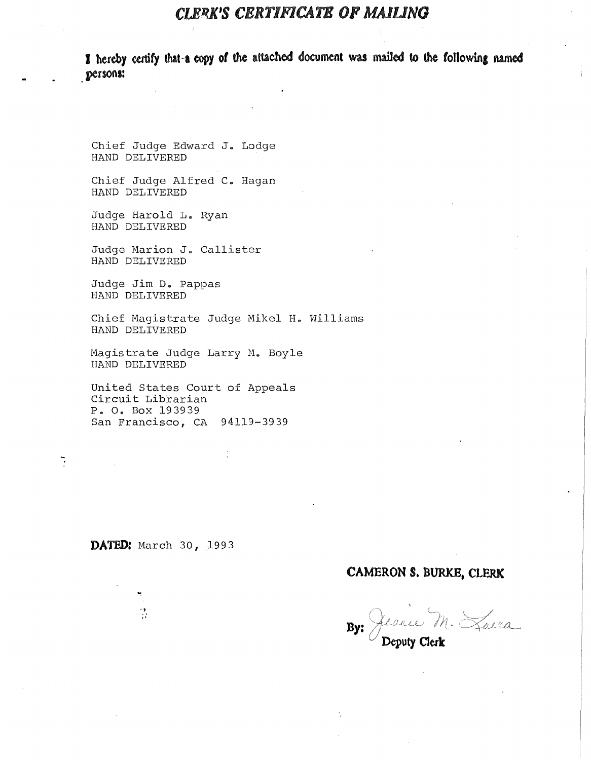## *CLERK'S CBRTIFICATB OF* **MAJUNG**

I hereby certify that a copy of the attached document was mailed to the following named **persons:** 

Chief Judge Edward J. Lodge HAND DELIVERED

Chief Judge Alfred c. Hagan HAND DELIVERED

Judge Harold L. Ryan HAND DELIVERED

Judge Marion J. Callister HAND DELIVERED

Judge Jim D. Pappas HAND DELIVERED

Chief Magistrate Judge Mikel H. Williams HAND DELIVERED

Magistrate Judge Larry M., Boyle HAND DELIVERED

United States Court of Appeals Circuit Librarian P. o. Box 193939 San Francisco, CA 94119-3939

**DATED:** March 30, 1993

 $\cdot$  .

 $\overline{a}$ 

## **CAMERON S. BURKB, CLERK**

Jeanne M. Loura